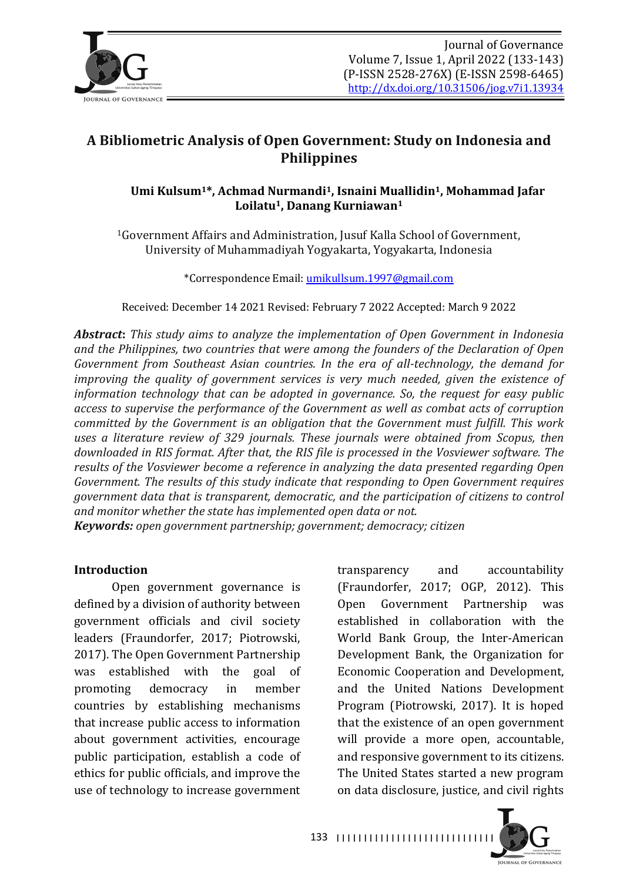

# **A Bibliometric Analysis of Open Government: Study on Indonesia and Philippines**

# Umi Kulsum<sup>1\*</sup>, Achmad Nurmandi<sup>1</sup>, Isnaini Muallidin<sup>1</sup>, Mohammad Jafar Loilatu<sup>1</sup>, Danang Kurniawan<sup>1</sup>

<sup>1</sup>Government Affairs and Administration, Jusuf Kalla School of Government, University of Muhammadiyah Yogyakarta, Yogyakarta, Indonesia

\*Correspondence Email: umikullsum.1997@gmail.com

Received: December 14 2021 Revised: February 7 2022 Accepted: March 9 2022

*Abstract:* This study aims to analyze the implementation of Open Government in Indonesia and the Philippines, two countries that were among the founders of the Declaration of Open *Government from Southeast Asian countries. In the era of all-technology, the demand for improving the quality of government services is very much needed, given the existence of information technology that can be adopted in governance. So, the request for easy public access to supervise the performance of the Government as well as combat acts of corruption committed by the Government is an obligation that the Government must fulfill. This work uses a literature review of 329 journals. These journals were obtained from Scopus, then* downloaded in RIS format. After that, the RIS file is processed in the Vosviewer software. The *results of the Vosviewer become a reference in analyzing the data presented regarding Open Government. The results of this study indicate that responding to Open Government requires government data that is transparent, democratic, and the participation of citizens to control* and monitor whether the state has implemented open data or not.

*Keywords: open government partnership; government; democracy; citizen* 

#### **Introduction**

Open government governance is defined by a division of authority between government officials and civil society leaders (Fraundorfer, 2017; Piotrowski, 2017). The Open Government Partnership was established with the goal of promoting democracy in member countries by establishing mechanisms that increase public access to information about government activities, encourage public participation, establish a code of ethics for public officials, and improve the use of technology to increase government transparency and accountability (Fraundorfer, 2017; OGP, 2012). This Open Government Partnership was established in collaboration with the World Bank Group, the Inter-American Development Bank, the Organization for Economic Cooperation and Development, and the United Nations Development Program (Piotrowski, 2017). It is hoped that the existence of an open government will provide a more open, accountable, and responsive government to its citizens. The United States started a new program on data disclosure, justice, and civil rights

**JOURNAL OF GOVERNANCE** 

133 |||||||||||||||||||||||||||||||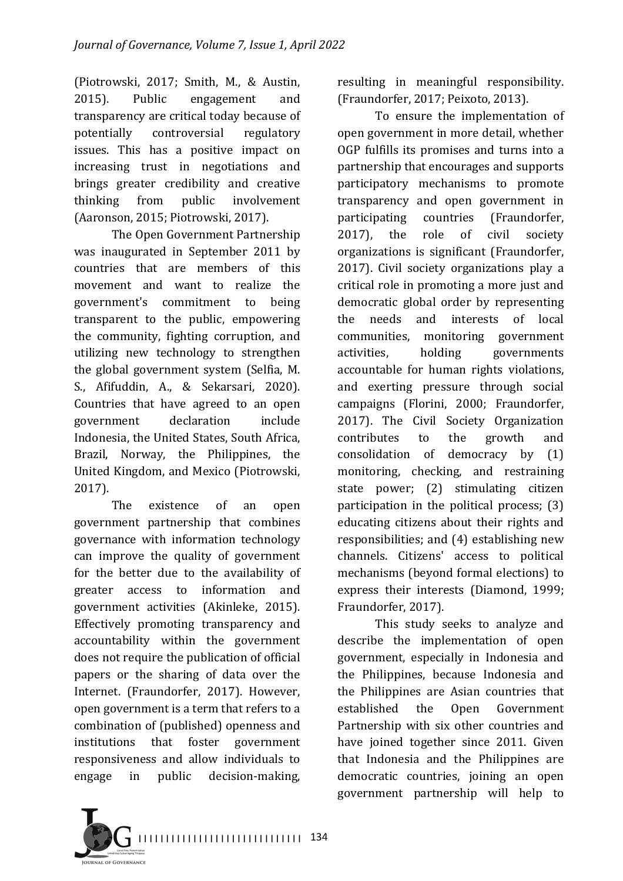(Piotrowski, 2017; Smith, M., & Austin, 2015). Public engagement and transparency are critical today because of potentially controversial regulatory issues. This has a positive impact on increasing trust in negotiations and brings greater credibility and creative thinking from public involvement (Aaronson, 2015; Piotrowski, 2017).

The Open Government Partnership was inaugurated in September 2011 by countries that are members of this movement and want to realize the government's commitment to being transparent to the public, empowering the community, fighting corruption, and utilizing new technology to strengthen the global government system (Selfia, M. S., Afifuddin, A., & Sekarsari, 2020). Countries that have agreed to an open government declaration include Indonesia, the United States, South Africa, Brazil, Norway, the Philippines, the United Kingdom, and Mexico (Piotrowski, 2017). 

The existence of an open government partnership that combines governance with information technology can improve the quality of government for the better due to the availability of greater access to information and government activities (Akinleke, 2015). Effectively promoting transparency and accountability within the government does not require the publication of official papers or the sharing of data over the Internet. (Fraundorfer, 2017). However, open government is a term that refers to a combination of (published) openness and institutions that foster government responsiveness and allow individuals to engage in public decision-making, 

resulting in meaningful responsibility. (Fraundorfer, 2017; Peixoto, 2013).

To ensure the implementation of open government in more detail, whether OGP fulfills its promises and turns into a partnership that encourages and supports participatory mechanisms to promote transparency and open government in participating countries (Fraundorfer, 2017), the role of civil society organizations is significant (Fraundorfer, 2017). Civil society organizations play a critical role in promoting a more just and democratic global order by representing the needs and interests of local communities, monitoring government activities, holding governments accountable for human rights violations, and exerting pressure through social campaigns (Florini, 2000; Fraundorfer, 2017). The Civil Society Organization contributes to the growth and consolidation of democracy by (1) monitoring, checking, and restraining state power; (2) stimulating citizen participation in the political process;  $(3)$ educating citizens about their rights and responsibilities; and (4) establishing new channels. Citizens' access to political mechanisms (beyond formal elections) to express their interests (Diamond, 1999; Fraundorfer, 2017).

This study seeks to analyze and describe the implementation of open government, especially in Indonesia and the Philippines, because Indonesia and the Philippines are Asian countries that established the Open Government Partnership with six other countries and have joined together since 2011. Given that Indonesia and the Philippines are democratic countries, joining an open government partnership will help to 

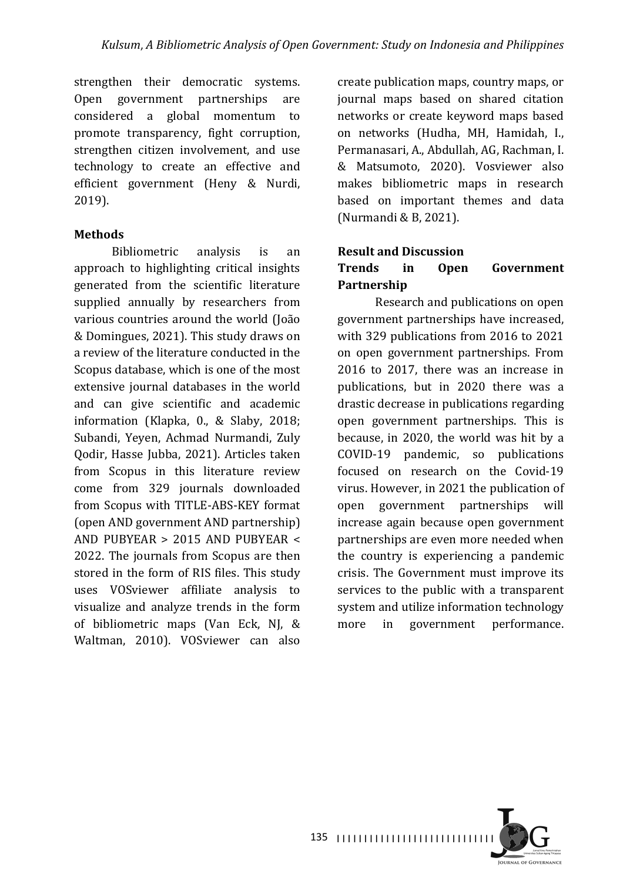strengthen their democratic systems. Open government partnerships are considered a global momentum to promote transparency, fight corruption, strengthen citizen involvement, and use technology to create an effective and efficient government (Heny & Nurdi, 2019).

## **Methods**

Bibliometric analysis is an approach to highlighting critical insights generated from the scientific literature supplied annually by researchers from various countries around the world (João & Domingues, 2021). This study draws on a review of the literature conducted in the Scopus database, which is one of the most extensive iournal databases in the world and can give scientific and academic information (Klapka, 0., & Slaby, 2018; Subandi, Yeyen, Achmad Nurmandi, Zuly Qodir, Hasse Jubba, 2021). Articles taken from Scopus in this literature review come from 329 journals downloaded from Scopus with TITLE-ABS-KEY format (open AND government AND partnership) AND PUBYEAR  $> 2015$  AND PUBYEAR  $<$ 2022. The journals from Scopus are then stored in the form of RIS files. This study uses VOSviewer affiliate analysis to visualize and analyze trends in the form of bibliometric maps (Van Eck, NJ, & Waltman, 2010). VOSviewer can also

create publication maps, country maps, or journal maps based on shared citation networks or create keyword maps based on networks (Hudha, MH, Hamidah, I., Permanasari, A., Abdullah, AG, Rachman, I. & Matsumoto, 2020). Vosviewer also makes bibliometric maps in research based on important themes and data (Nurmandi & B, 2021).

## **Result and Discussion**

# **Trends** in Open Government **Partnership**

Research and publications on open government partnerships have increased, with 329 publications from 2016 to 2021 on open government partnerships. From 2016 to 2017, there was an increase in publications, but in 2020 there was a drastic decrease in publications regarding open government partnerships. This is because, in 2020, the world was hit by a COVID-19 pandemic, so publications focused on research on the Covid-19 virus. However, in 2021 the publication of open government partnerships will increase again because open government partnerships are even more needed when the country is experiencing a pandemic crisis. The Government must improve its services to the public with a transparent system and utilize information technology more in government performance.

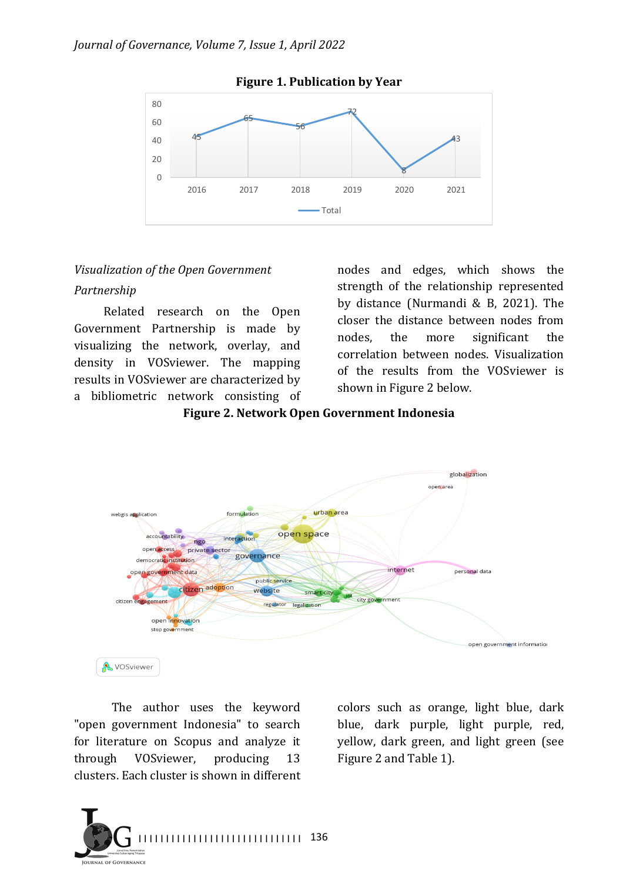#### *Journal of Governance, Volume 7, Issue 1, April 2022*



**Figure 1. Publication by Year** 

#### *Visualization of the Open Government*

#### *Partnership*

Related research on the Open Government Partnership is made by visualizing the network, overlay, and density in VOSviewer. The mapping results in VOSviewer are characterized by a bibliometric network consisting of

nodes and edges, which shows the strength of the relationship represented by distance (Nurmandi & B, 2021). The closer the distance between nodes from nodes, the more significant the correlation between nodes. Visualization of the results from the VOSviewer is shown in Figure 2 below.

Figure 2. Network Open Government Indonesia



**A** VOSviewer

The author uses the keyword "open government Indonesia" to search for literature on Scopus and analyze it through VOSviewer, producing 13 clusters. Each cluster is shown in different 

colors such as orange, light blue, dark blue, dark purple, light purple, red, yellow, dark green, and light green (see Figure 2 and Table 1).

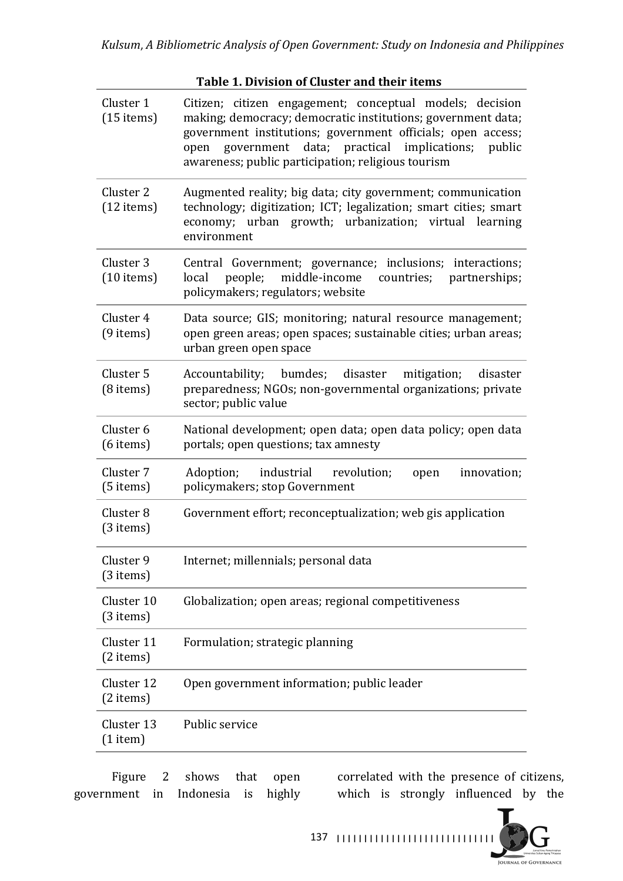## Table 1. Division of Cluster and their items

| Cluster 1<br>$(15$ items)           | Citizen; citizen engagement; conceptual models; decision<br>making; democracy; democratic institutions; government data;<br>government institutions; government officials; open access;<br>data; practical implications; public<br>government<br>open<br>awareness; public participation; religious tourism |
|-------------------------------------|-------------------------------------------------------------------------------------------------------------------------------------------------------------------------------------------------------------------------------------------------------------------------------------------------------------|
| Cluster 2<br>$(12 \text{ items})$   | Augmented reality; big data; city government; communication<br>technology; digitization; ICT; legalization; smart cities; smart<br>economy; urban growth; urbanization; virtual learning<br>environment                                                                                                     |
| Cluster 3<br>$(10$ items)           | Central Government; governance; inclusions; interactions;<br>people;<br>middle-income<br>countries; partnerships;<br>local<br>policymakers; regulators; website                                                                                                                                             |
| Cluster 4<br>$(9$ items)            | Data source; GIS; monitoring; natural resource management;<br>open green areas; open spaces; sustainable cities; urban areas;<br>urban green open space                                                                                                                                                     |
| Cluster 5<br>$(8$ items)            | Accountability; bumdes; disaster mitigation;<br>disaster<br>preparedness; NGOs; non-governmental organizations; private<br>sector; public value                                                                                                                                                             |
| Cluster 6<br>$(6$ items)            | National development; open data; open data policy; open data<br>portals; open questions; tax amnesty                                                                                                                                                                                                        |
| Cluster 7<br>$(5$ items)            | industrial revolution;<br>Adoption;<br>innovation;<br>open<br>policymakers; stop Government                                                                                                                                                                                                                 |
| Cluster <sub>8</sub><br>$(3$ items) | Government effort; reconceptualization; web gis application                                                                                                                                                                                                                                                 |
| Cluster 9<br>$(3$ items)            | Internet; millennials; personal data                                                                                                                                                                                                                                                                        |
| Cluster 10<br>$(3$ items)           | Globalization; open areas; regional competitiveness                                                                                                                                                                                                                                                         |
| Cluster 11<br>$(2$ items)           | Formulation; strategic planning                                                                                                                                                                                                                                                                             |
| Cluster 12<br>$(2$ items)           | Open government information; public leader                                                                                                                                                                                                                                                                  |
| Cluster 13<br>$(1$ item)            | Public service                                                                                                                                                                                                                                                                                              |

Figure 2 shows that open government in Indonesia is highly

correlated with the presence of citizens, which is strongly influenced by the



137 |||||||||||||||||||||||||||||||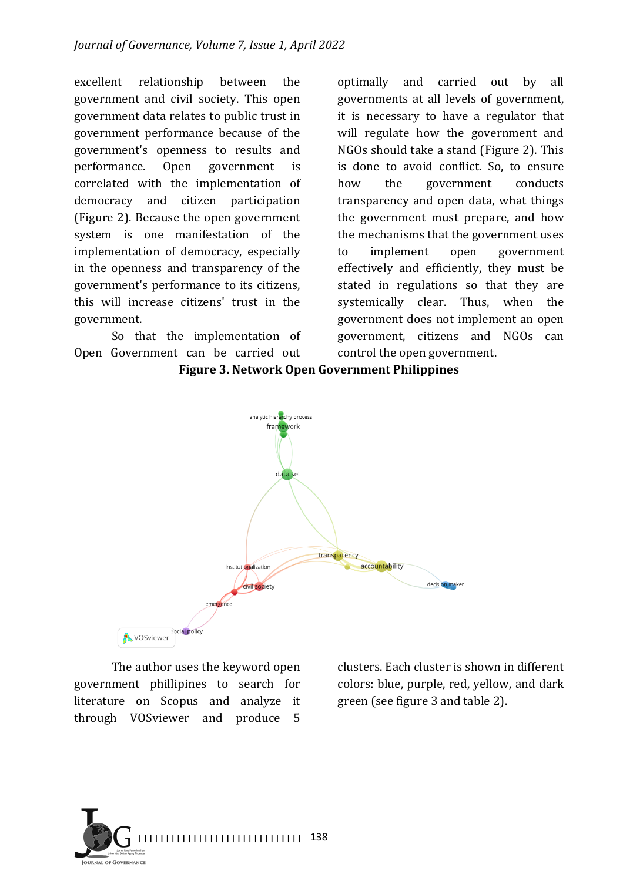excellent relationship between the government and civil society. This open government data relates to public trust in government performance because of the government's openness to results and performance. Open government is correlated with the implementation of democracy and citizen participation (Figure 2). Because the open government system is one manifestation of the implementation of democracy, especially in the openness and transparency of the government's performance to its citizens, this will increase citizens' trust in the government.

So that the implementation of Open Government can be carried out

optimally and carried out by all governments at all levels of government, it is necessary to have a regulator that will regulate how the government and NGOs should take a stand (Figure 2). This is done to avoid conflict. So, to ensure how the government conducts transparency and open data, what things the government must prepare, and how the mechanisms that the government uses to implement open government effectively and efficiently, they must be stated in regulations so that they are systemically clear. Thus, when the government does not implement an open government, citizens and NGOs can control the open government.



**Figure 3. Network Open Government Philippines**

The author uses the keyword open government phillipines to search for literature on Scopus and analyze it through VOSviewer and produce 5 

clusters. Each cluster is shown in different colors: blue, purple, red, yellow, and dark green (see figure 3 and table 2).

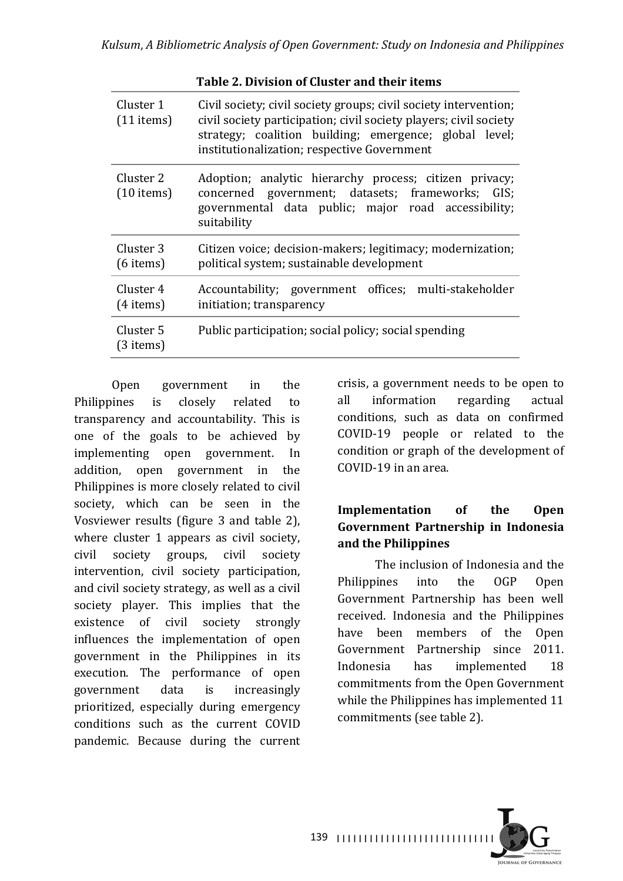**Table 2. Division of Cluster and their items**

|                           | Table 2. Division of Giustel and their Items                                                                                                                                                                                                   |
|---------------------------|------------------------------------------------------------------------------------------------------------------------------------------------------------------------------------------------------------------------------------------------|
| Cluster 1<br>$(11$ items) | Civil society; civil society groups; civil society intervention;<br>civil society participation; civil society players; civil society<br>strategy; coalition building; emergence; global level;<br>institutionalization; respective Government |
| Cluster 2<br>$(10$ items) | Adoption; analytic hierarchy process; citizen privacy;<br>concerned government; datasets; frameworks; GIS;<br>governmental data public; major road accessibility;<br>suitability                                                               |
| Cluster 3<br>$(6$ items)  | Citizen voice; decision-makers; legitimacy; modernization;<br>political system; sustainable development                                                                                                                                        |
| Cluster 4<br>$(4$ items)  | Accountability; government offices; multi-stakeholder<br>initiation; transparency                                                                                                                                                              |
| Cluster 5<br>(3 items)    | Public participation; social policy; social spending                                                                                                                                                                                           |
|                           |                                                                                                                                                                                                                                                |

Open government in the Philippines is closely related to transparency and accountability. This is one of the goals to be achieved by implementing open government. In addition, open government in the Philippines is more closely related to civil society, which can be seen in the Vosviewer results (figure 3 and table 2), where cluster  $1$  appears as civil society, civil society groups, civil society intervention, civil society participation, and civil society strategy, as well as a civil society player. This implies that the existence of civil society strongly influences the implementation of open government in the Philippines in its execution. The performance of open government data is increasingly prioritized, especially during emergency conditions such as the current COVID pandemic. Because during the current

crisis, a government needs to be open to all information regarding actual conditions, such as data on confirmed COVID-19 people or related to the condition or graph of the development of  $COVID-19$  in an area.

# **Implementation** of the Open **Government Partnership in Indonesia**  and the Philippines

The inclusion of Indonesia and the Philippines into the OGP Open Government Partnership has been well received. Indonesia and the Philippines have been members of the Open Government Partnership since 2011. Indonesia has implemented 18 commitments from the Open Government while the Philippines has implemented 11 commitments (see table 2).

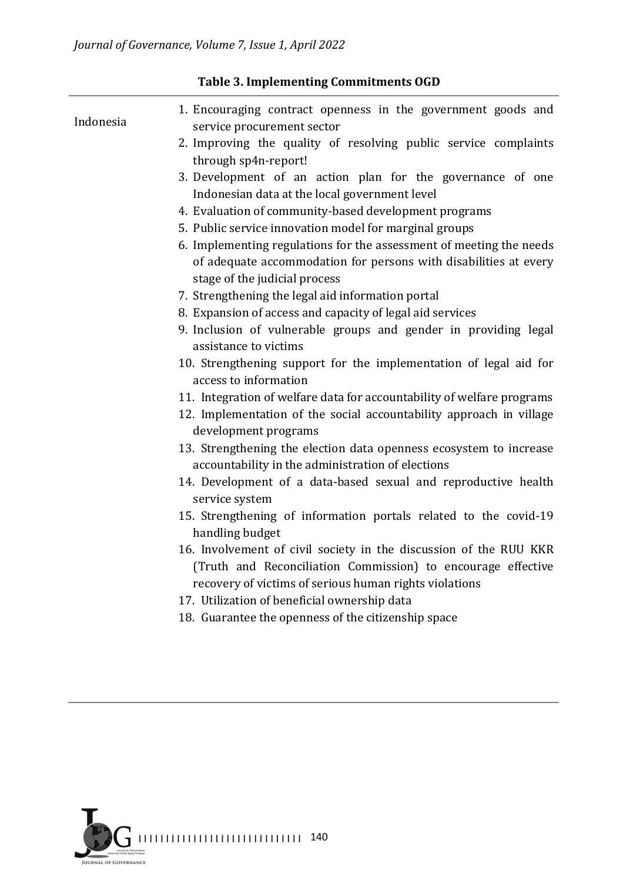| Indonesia | 1. Encouraging contract openness in the government goods and<br>service procurement sector                                                                                                  |
|-----------|---------------------------------------------------------------------------------------------------------------------------------------------------------------------------------------------|
|           | 2. Improving the quality of resolving public service complaints<br>through sp4n-report!                                                                                                     |
|           | 3. Development of an action plan for the governance of one<br>Indonesian data at the local government level                                                                                 |
|           | 4. Evaluation of community-based development programs                                                                                                                                       |
|           | 5. Public service innovation model for marginal groups                                                                                                                                      |
|           | 6. Implementing regulations for the assessment of meeting the needs<br>of adequate accommodation for persons with disabilities at every<br>stage of the judicial process                    |
|           | 7. Strengthening the legal aid information portal                                                                                                                                           |
|           | 8. Expansion of access and capacity of legal aid services                                                                                                                                   |
|           | 9. Inclusion of vulnerable groups and gender in providing legal<br>assistance to victims                                                                                                    |
|           | 10. Strengthening support for the implementation of legal aid for<br>access to information                                                                                                  |
|           | 11. Integration of welfare data for accountability of welfare programs                                                                                                                      |
|           | 12. Implementation of the social accountability approach in village<br>development programs                                                                                                 |
|           | 13. Strengthening the election data openness ecosystem to increase<br>accountability in the administration of elections                                                                     |
|           | 14. Development of a data-based sexual and reproductive health<br>service system                                                                                                            |
|           | 15. Strengthening of information portals related to the covid-19<br>handling budget                                                                                                         |
|           | 16. Involvement of civil society in the discussion of the RUU KKR<br>(Truth and Reconciliation Commission) to encourage effective<br>recovery of victims of serious human rights violations |
|           | 17. Utilization of beneficial ownership data                                                                                                                                                |
|           | 18. Guarantee the openness of the citizenship space                                                                                                                                         |
|           |                                                                                                                                                                                             |

# **Table 3. Implementing Commitments OGD**

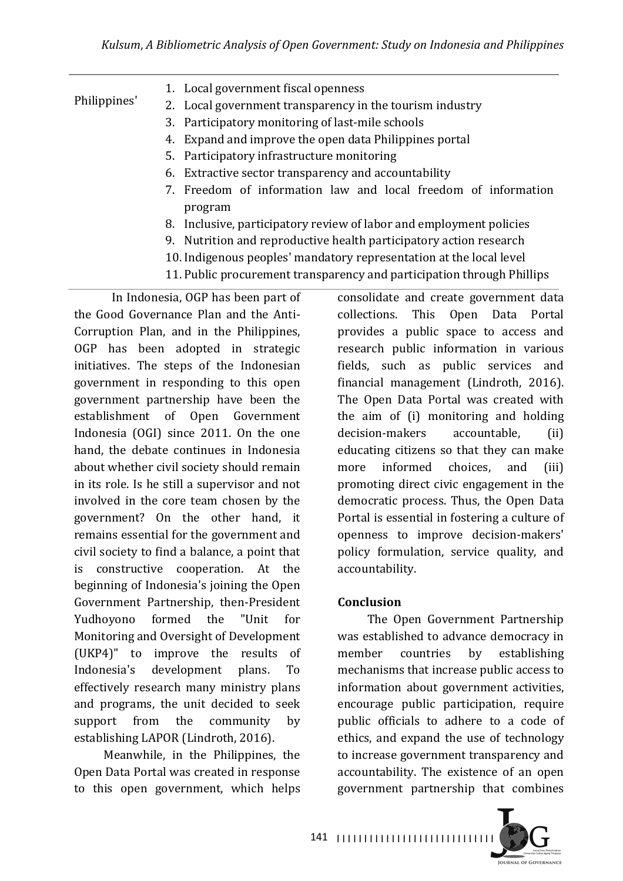| Philippines' | 1. Local government fiscal openness                                 |
|--------------|---------------------------------------------------------------------|
|              | 2. Local government transparency in the tourism industry            |
|              | 3. Participatory monitoring of last-mile schools                    |
|              | 4. Expand and improve the open data Philippines portal              |
|              | 5. Participatory infrastructure monitoring                          |
|              | 6. Extractive sector transparency and accountability                |
|              | 7. Freedom of information law and local freedom of information      |
|              | program                                                             |
|              | 8. Inclusive, participatory review of labor and employment policies |
|              | 9. Nutrition and reproductive health participatory action research  |
|              | 10. Indigenous peoples' mandatory representation at the local level |

11. Public procurement transparency and participation through Phillips

In Indonesia, OGP has been part of the Good Governance Plan and the Anti-Corruption Plan, and in the Philippines, OGP has been adopted in strategic initiatives. The steps of the Indonesian government in responding to this open government partnership have been the establishment of Open Government Indonesia (OGI) since 2011. On the one hand, the debate continues in Indonesia about whether civil society should remain in its role. Is he still a supervisor and not involved in the core team chosen by the government? On the other hand, it remains essential for the government and civil society to find a balance, a point that is constructive cooperation. At the beginning of Indonesia's joining the Open Government Partnership, then-President Yudhoyono formed the "Unit for Monitoring and Oversight of Development (UKP4)" to improve the results of Indonesia's development plans. To effectively research many ministry plans and programs, the unit decided to seek support from the community by establishing LAPOR (Lindroth, 2016).

Meanwhile, in the Philippines, the Open Data Portal was created in response to this open government, which helps

consolidate and create government data collections. This Open Data Portal provides a public space to access and research public information in various fields, such as public services and financial management (Lindroth, 2016). The Open Data Portal was created with the aim of (i) monitoring and holding decision-makers accountable, (ii) educating citizens so that they can make more informed choices, and (iii) promoting direct civic engagement in the democratic process. Thus, the Open Data Portal is essential in fostering a culture of openness to improve decision-makers' policy formulation, service quality, and accountability.

# **Conclusion**

The Open Government Partnership was established to advance democracy in member countries by establishing mechanisms that increase public access to information about government activities, encourage public participation, require public officials to adhere to a code of ethics, and expand the use of technology to increase government transparency and accountability. The existence of an open government partnership that combines 

**JOURNAL OF GOVERNANCE** 

141 |||||||||||||||||||||||||||||||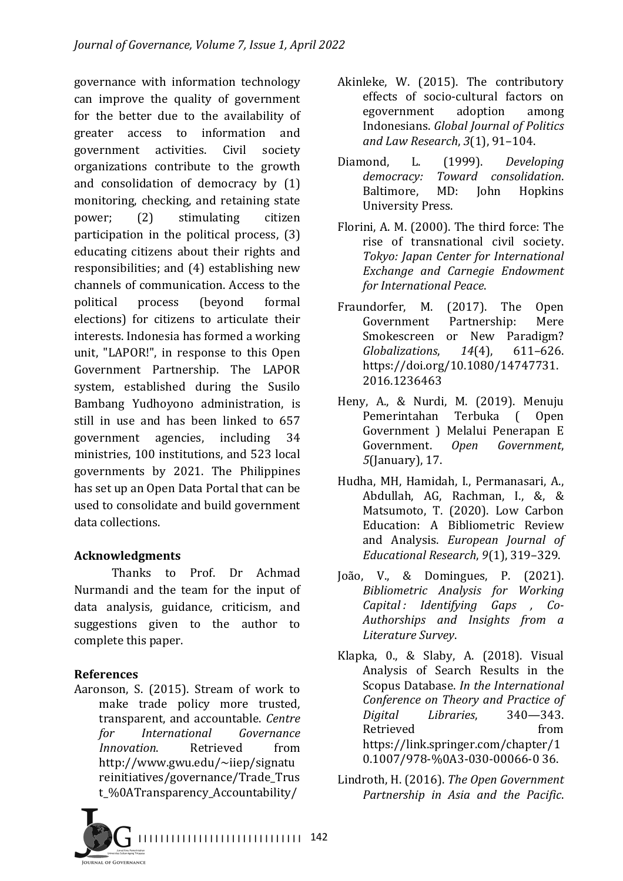governance with information technology can improve the quality of government for the better due to the availability of greater access to information and government activities. Civil society organizations contribute to the growth and consolidation of democracy by  $(1)$ monitoring, checking, and retaining state power; (2) stimulating citizen participation in the political process,  $(3)$ educating citizens about their rights and responsibilities; and  $(4)$  establishing new channels of communication. Access to the political process (beyond formal elections) for citizens to articulate their interests. Indonesia has formed a working unit, "LAPOR!", in response to this Open Government Partnership. The LAPOR system, established during the Susilo Bambang Yudhoyono administration, is still in use and has been linked to 657 government agencies, including 34 ministries, 100 institutions, and 523 local governments by 2021. The Philippines has set up an Open Data Portal that can be used to consolidate and build government data collections.

# **Acknowledgments**

Thanks to Prof. Dr Achmad Nurmandi and the team for the input of data analysis, guidance, criticism, and suggestions given to the author to complete this paper.

# **References**

Aaronson, S. (2015). Stream of work to make trade policy more trusted, transparent, and accountable. *Centre for International Governance Innovation.* Retrieved from http://www.gwu.edu/~iiep/signatu reinitiatives/governance/Trade\_Trus t\_%0ATransparency\_Accountability/



- Akinleke, W. (2015). The contributory effects of socio-cultural factors on egovernment adoption among Indonesians. *Global Journal of Politics* and Law Research, 3(1), 91-104.
- Diamond, L. (1999). *Developing democracy: Toward consolidation*. Baltimore, MD: John Hopkins University Press.
- Florini, A. M. (2000). The third force: The rise of transnational civil society. *Tokyo: Japan Center for International Exchange and Carnegie Endowment for International Peace*.
- Fraundorfer, M. (2017). The Open Government Partnership: Mere Smokescreen or New Paradigm? *Globalizations*, *14*(4), 611–626. https://doi.org/10.1080/14747731. 2016.1236463
- Heny, A., & Nurdi, M. (2019). Menuju Pemerintahan Terbuka (Open Government ) Melalui Penerapan E Government. *Open Government*, *5*(January), 17.
- Hudha, MH, Hamidah, I., Permanasari, A., Abdullah, AG, Rachman, I., &, & Matsumoto, T. (2020). Low Carbon Education: A Bibliometric Review and Analysis. *European Journal of Educational Research*, *9*(1), 319–329.
- João, V., & Domingues, P. (2021). *Bibliometric Analysis for Working Capital : Identifying Gaps , Co-Authorships and Insights from a Literature Survey*.
- Klapka,  $0, \&$  Slaby, A.  $(2018)$ . Visual Analysis of Search Results in the Scopus Database. *In the International Conference on Theory and Practice of Digital Libraries*, 340—343. Retrieved from https://link.springer.com/chapter/1 0.1007/978-%0A3-030-00066-0 36.
- Lindroth, H. (2016). *The Open Government Partnership in Asia and the Pacific*.